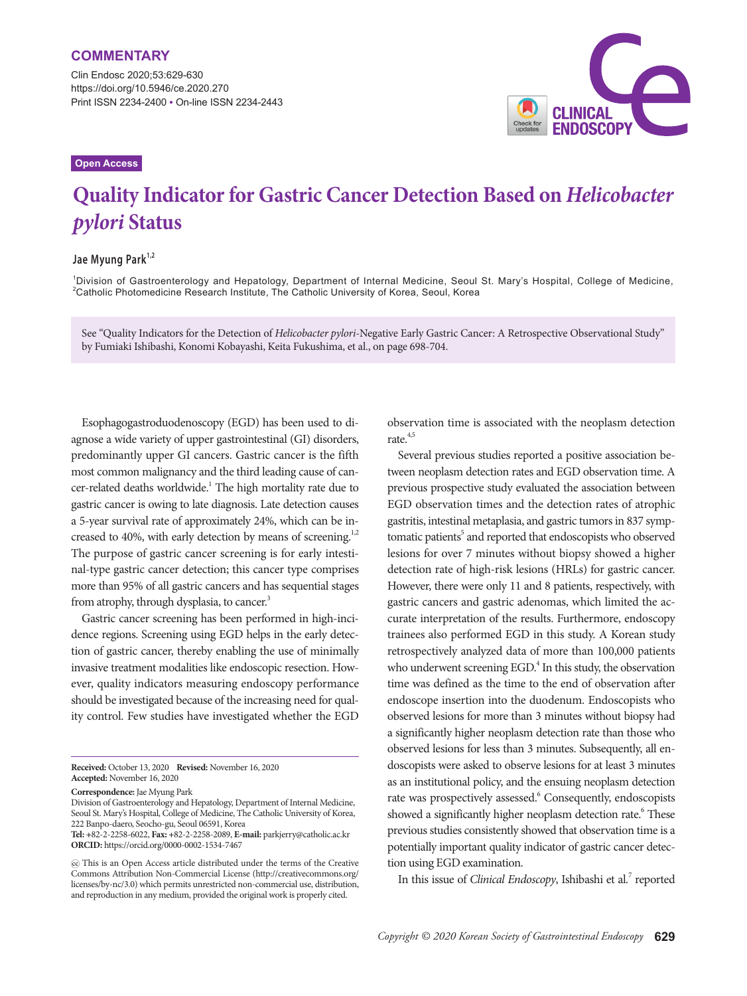Clin Endosc 2020;53:629-630 https://doi.org/10.5946/ce.2020.270 Print ISSN 2234-2400 • On-line ISSN 2234-2443

# **CLINICAL**<br>ENDOSCOPY

#### **Open Access**

## **Quality Indicator for Gastric Cancer Detection Based on** *Helicobacter pylori* **Status**

### **Jae Myung Park1,2**

1 Division of Gastroenterology and Hepatology, Department of Internal Medicine, Seoul St. Mary's Hospital, College of Medicine,  $^2$ Catholic Photomedicine Research Institute, The Catholic University of Korea, Seoul, Korea

See "Quality Indicators for the Detection of *Helicobacter pylori*-Negative Early Gastric Cancer: A Retrospective Observational Study" by Fumiaki Ishibashi, Konomi Kobayashi, Keita Fukushima, et al., on page 698-704.

Esophagogastroduodenoscopy (EGD) has been used to diagnose a wide variety of upper gastrointestinal (GI) disorders, predominantly upper GI cancers. Gastric cancer is the fifth most common malignancy and the third leading cause of cancer-related deaths worldwide.<sup>1</sup> The high mortality rate due to gastric cancer is owing to late diagnosis. Late detection causes a 5-year survival rate of approximately 24%, which can be increased to 40%, with early detection by means of screening.<sup>1,2</sup> The purpose of gastric cancer screening is for early intestinal-type gastric cancer detection; this cancer type comprises more than 95% of all gastric cancers and has sequential stages from atrophy, through dysplasia, to cancer.<sup>3</sup>

Gastric cancer screening has been performed in high-incidence regions. Screening using EGD helps in the early detection of gastric cancer, thereby enabling the use of minimally invasive treatment modalities like endoscopic resection. However, quality indicators measuring endoscopy performance should be investigated because of the increasing need for quality control. Few studies have investigated whether the EGD

**Received:** October 13, 2020 **Revised:** November 16, 2020 **Accepted:** November 16, 2020

**Correspondence:** Jae Myung Park

Division of Gastroenterology and Hepatology, Department of Internal Medicine, Seoul St. Mary's Hospital, College of Medicine, The Catholic University of Korea, 222 Banpo-daero, Seocho-gu, Seoul 06591, Korea

**Tel: +**82-2-2258-6022, **Fax: +**82-2-2258-2089, **E-mail:** parkjerry@catholic.ac.kr **ORCID:** https://orcid.org/0000-0002-1534-7467

observation time is associated with the neoplasm detection rate. $4,5$ 

Several previous studies reported a positive association between neoplasm detection rates and EGD observation time. A previous prospective study evaluated the association between EGD observation times and the detection rates of atrophic gastritis, intestinal metaplasia, and gastric tumors in 837 symptomatic patients<sup>5</sup> and reported that endoscopists who observed lesions for over 7 minutes without biopsy showed a higher detection rate of high-risk lesions (HRLs) for gastric cancer. However, there were only 11 and 8 patients, respectively, with gastric cancers and gastric adenomas, which limited the accurate interpretation of the results. Furthermore, endoscopy trainees also performed EGD in this study. A Korean study retrospectively analyzed data of more than 100,000 patients who underwent screening EGD.<sup>4</sup> In this study, the observation time was defined as the time to the end of observation after endoscope insertion into the duodenum. Endoscopists who observed lesions for more than 3 minutes without biopsy had a significantly higher neoplasm detection rate than those who observed lesions for less than 3 minutes. Subsequently, all endoscopists were asked to observe lesions for at least 3 minutes as an institutional policy, and the ensuing neoplasm detection rate was prospectively assessed.<sup>6</sup> Consequently, endoscopists showed a significantly higher neoplasm detection rate.<sup>6</sup> These previous studies consistently showed that observation time is a potentially important quality indicator of gastric cancer detection using EGD examination.

In this issue of *Clinical Endoscopy*, Ishibashi et al.<sup>7</sup> reported

This is an Open Access article distributed under the terms of the Creative Commons Attribution Non-Commercial License (http://creativecommons.org/ licenses/by-nc/3.0) which permits unrestricted non-commercial use, distribution, and reproduction in any medium, provided the original work is properly cited.